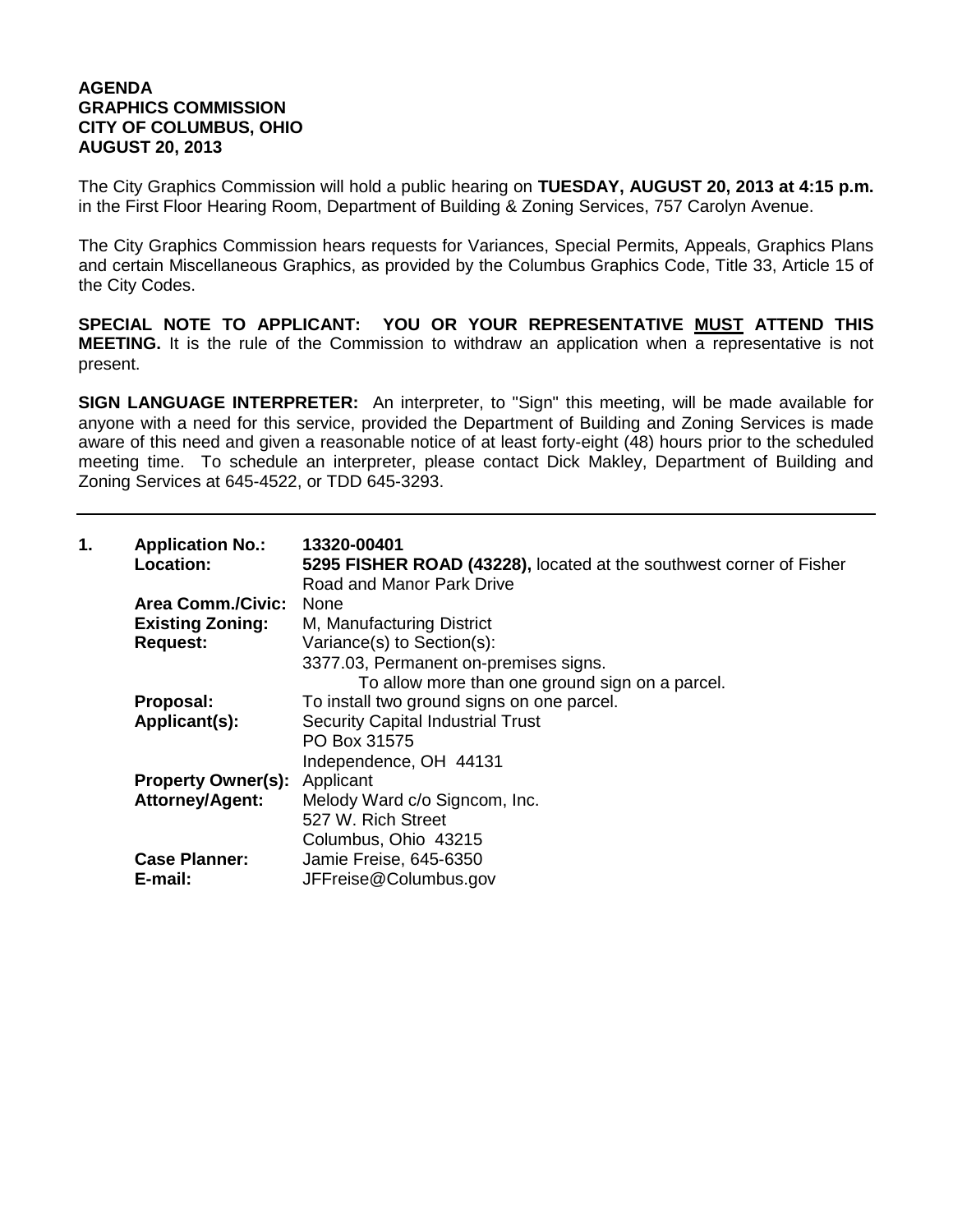## **AGENDA GRAPHICS COMMISSION CITY OF COLUMBUS, OHIO AUGUST 20, 2013**

The City Graphics Commission will hold a public hearing on **TUESDAY, AUGUST 20, 2013 at 4:15 p.m.** in the First Floor Hearing Room, Department of Building & Zoning Services, 757 Carolyn Avenue.

The City Graphics Commission hears requests for Variances, Special Permits, Appeals, Graphics Plans and certain Miscellaneous Graphics, as provided by the Columbus Graphics Code, Title 33, Article 15 of the City Codes.

**SPECIAL NOTE TO APPLICANT: YOU OR YOUR REPRESENTATIVE MUST ATTEND THIS MEETING.** It is the rule of the Commission to withdraw an application when a representative is not present.

**SIGN LANGUAGE INTERPRETER:** An interpreter, to "Sign" this meeting, will be made available for anyone with a need for this service, provided the Department of Building and Zoning Services is made aware of this need and given a reasonable notice of at least forty-eight (48) hours prior to the scheduled meeting time. To schedule an interpreter, please contact Dick Makley, Department of Building and Zoning Services at 645-4522, or TDD 645-3293.

| 1. | <b>Application No.:</b><br><b>Location:</b> | 13320-00401<br>5295 FISHER ROAD (43228), located at the southwest corner of Fisher<br>Road and Manor Park Drive |
|----|---------------------------------------------|-----------------------------------------------------------------------------------------------------------------|
|    | Area Comm./Civic: None                      |                                                                                                                 |
|    | <b>Existing Zoning:</b>                     | M, Manufacturing District                                                                                       |
|    | <b>Request:</b>                             | Variance(s) to Section(s):                                                                                      |
|    |                                             | 3377.03, Permanent on-premises signs.                                                                           |
|    |                                             | To allow more than one ground sign on a parcel.                                                                 |
|    | Proposal:                                   | To install two ground signs on one parcel.                                                                      |
|    | Applicant(s):                               | <b>Security Capital Industrial Trust</b>                                                                        |
|    |                                             | PO Box 31575                                                                                                    |
|    |                                             | Independence, OH 44131                                                                                          |
|    | <b>Property Owner(s):</b>                   | Applicant                                                                                                       |
|    | <b>Attorney/Agent:</b>                      | Melody Ward c/o Signcom, Inc.                                                                                   |
|    |                                             | 527 W. Rich Street                                                                                              |
|    |                                             | Columbus, Ohio 43215                                                                                            |
|    | <b>Case Planner:</b>                        | Jamie Freise, 645-6350                                                                                          |
|    | E-mail:                                     | JFFreise@Columbus.gov                                                                                           |